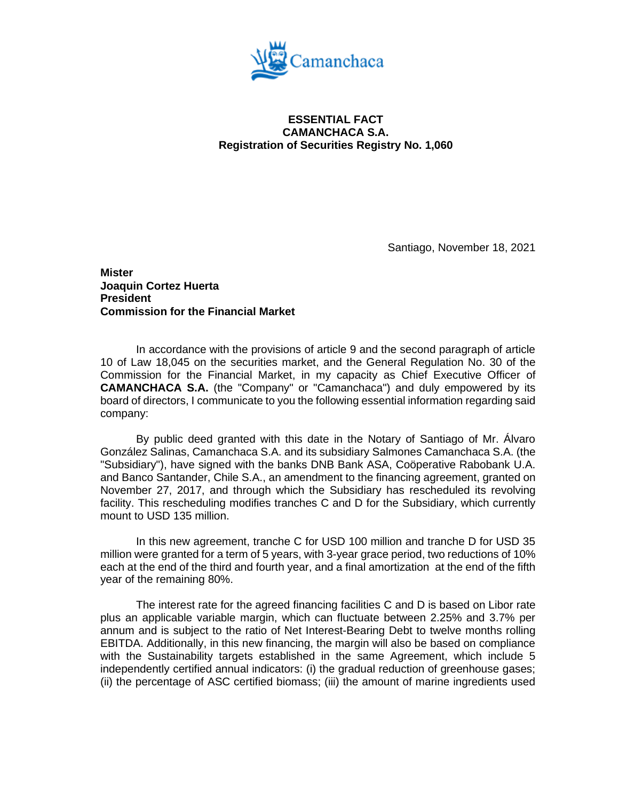

## **ESSENTIAL FACT CAMANCHACA S.A. Registration of Securities Registry No. 1,060**

Santiago, November 18, 2021

**Mister Joaquin Cortez Huerta President Commission for the Financial Market**

In accordance with the provisions of article 9 and the second paragraph of article 10 of Law 18,045 on the securities market, and the General Regulation No. 30 of the Commission for the Financial Market, in my capacity as Chief Executive Officer of **CAMANCHACA S.A.** (the "Company" or "Camanchaca") and duly empowered by its board of directors, I communicate to you the following essential information regarding said company:

By public deed granted with this date in the Notary of Santiago of Mr. Álvaro González Salinas, Camanchaca S.A. and its subsidiary Salmones Camanchaca S.A. (the "Subsidiary"), have signed with the banks DNB Bank ASA, Coöperative Rabobank U.A. and Banco Santander, Chile S.A., an amendment to the financing agreement, granted on November 27, 2017, and through which the Subsidiary has rescheduled its revolving facility. This rescheduling modifies tranches C and D for the Subsidiary, which currently mount to USD 135 million.

In this new agreement, tranche C for USD 100 million and tranche D for USD 35 million were granted for a term of 5 years, with 3-year grace period, two reductions of 10% each at the end of the third and fourth year, and a final amortization at the end of the fifth year of the remaining 80%.

The interest rate for the agreed financing facilities C and D is based on Libor rate plus an applicable variable margin, which can fluctuate between 2.25% and 3.7% per annum and is subject to the ratio of Net Interest-Bearing Debt to twelve months rolling EBITDA. Additionally, in this new financing, the margin will also be based on compliance with the Sustainability targets established in the same Agreement, which include 5 independently certified annual indicators: (i) the gradual reduction of greenhouse gases; (ii) the percentage of ASC certified biomass; (iii) the amount of marine ingredients used